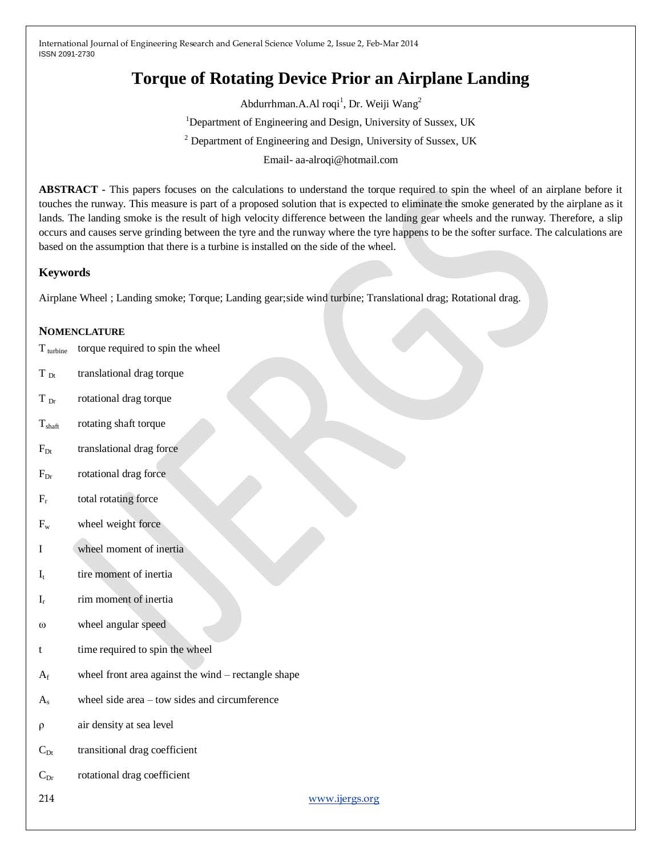# **Torque of Rotating Device Prior an Airplane Landing**

Abdurrhman.A.Al roqi<sup>1</sup>, Dr. Weiji Wang<sup>2</sup> <sup>1</sup>Department of Engineering and Design, University of Sussex, UK <sup>2</sup> Department of Engineering and Design, University of Sussex, UK

Email- aa-alroqi@hotmail.com

**ABSTRACT -** This papers focuses on the calculations to understand the torque required to spin the wheel of an airplane before it touches the runway. This measure is part of a proposed solution that is expected to eliminate the smoke generated by the airplane as it lands. The landing smoke is the result of high velocity difference between the landing gear wheels and the runway. Therefore, a slip occurs and causes serve grinding between the tyre and the runway where the tyre happens to be the softer surface. The calculations are based on the assumption that there is a turbine is installed on the side of the wheel.

# **Keywords**

Airplane Wheel ; Landing smoke; Torque; Landing gear;side wind turbine; Translational drag; Rotational drag.

## **NOMENCLATURE**

- $T_{\text{turbine}}$  torque required to spin the wheel
- $T_{\text{Dt}}$  translational drag torque
- T<sub>Dr</sub> rotational drag torque
- T<sub>shaft</sub> rotating shaft torque
- $F_{Dt}$  translational drag force
- $F<sub>Dr</sub>$  rotational drag force
- $F_r$ total rotating force
- $F_w$  wheel weight force
- I wheel moment of inertia
- $I_t$ tire moment of inertia
- I<sup>r</sup> rim moment of inertia
- ω wheel angular speed
- t time required to spin the wheel
- $A_f$  wheel front area against the wind rectangle shape
- A<sup>s</sup> wheel side area tow sides and circumference
- ρ air density at sea level
- $C_{Dt}$  transitional drag coefficient
- $C_{Dr}$  rotational drag coefficient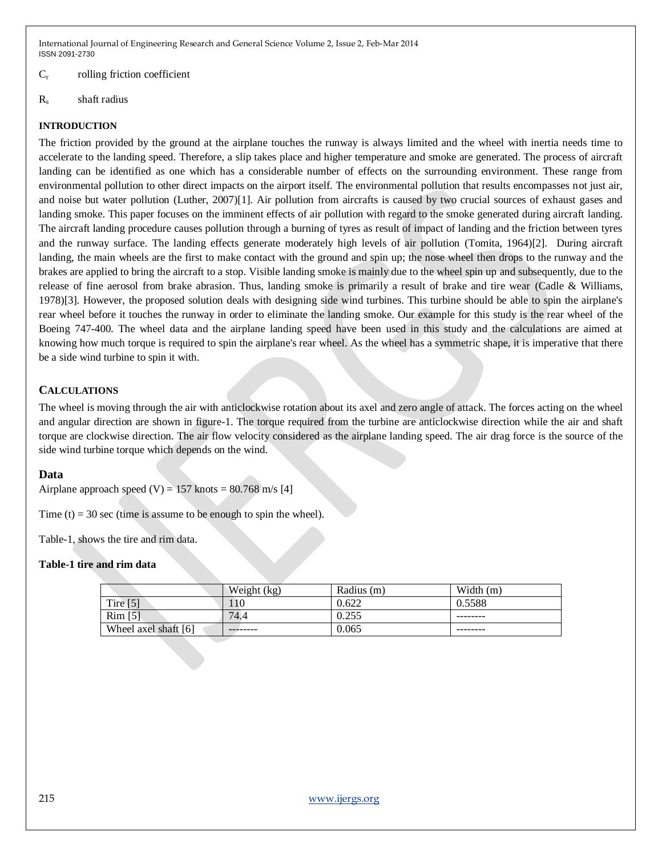#### $C_r$  rolling friction coefficient

R<sup>s</sup> shaft radius

## **INTRODUCTION**

The friction provided by the ground at the airplane touches the runway is always limited and the wheel with inertia needs time to accelerate to the landing speed. Therefore, a slip takes place and higher temperature and smoke are generated. The process of aircraft landing can be identified as one which has a considerable number of effects on the surrounding environment. These range from environmental pollution to other direct impacts on the airport itself. The environmental pollution that results encompasses not just air, and noise but water pollution (Luther, 2007)[1]. Air pollution from aircrafts is caused by two crucial sources of exhaust gases and landing smoke. This paper focuses on the imminent effects of air pollution with regard to the smoke generated during aircraft landing. The aircraft landing procedure causes pollution through a burning of tyres as result of impact of landing and the friction between tyres and the runway surface. The landing effects generate moderately high levels of air pollution (Tomita, 1964)[2]. During aircraft landing, the main wheels are the first to make contact with the ground and spin up; the nose wheel then drops to the runway and the brakes are applied to bring the aircraft to a stop. Visible landing smoke is mainly due to the wheel spin up and subsequently, due to the release of fine aerosol from brake abrasion. Thus, landing smoke is primarily a result of brake and tire wear (Cadle & Williams, 1978)[3]. However, the proposed solution deals with designing side wind turbines. This turbine should be able to spin the airplane's rear wheel before it touches the runway in order to eliminate the landing smoke. Our example for this study is the rear wheel of the Boeing 747-400. The wheel data and the airplane landing speed have been used in this study and the calculations are aimed at knowing how much torque is required to spin the airplane's rear wheel. As the wheel has a symmetric shape, it is imperative that there be a side wind turbine to spin it with.

# **CALCULATIONS**

The wheel is moving through the air with anticlockwise rotation about its axel and zero angle of attack. The forces acting on the wheel and angular direction are shown in figure-1. The torque required from the turbine are anticlockwise direction while the air and shaft torque are clockwise direction. The air flow velocity considered as the airplane landing speed. The air drag force is the source of the side wind turbine torque which depends on the wind.

### **Data**

Airplane approach speed (V) =  $157$  knots =  $80.768$  m/s [4]

Time  $(t) = 30$  sec (time is assume to be enough to spin the wheel).

Table-1, shows the tire and rim data.

### **Table-1 tire and rim data**

|                      | Weight (kg) | Radius (m) | Width $(m)$ |
|----------------------|-------------|------------|-------------|
| Tire $[5]$           | 110         | 0.622      | 0.5588      |
| $Rim$ [5]            | 74.4        | 0.255      |             |
| Wheel axel shaft [6] | --------    | 0.065      | --------    |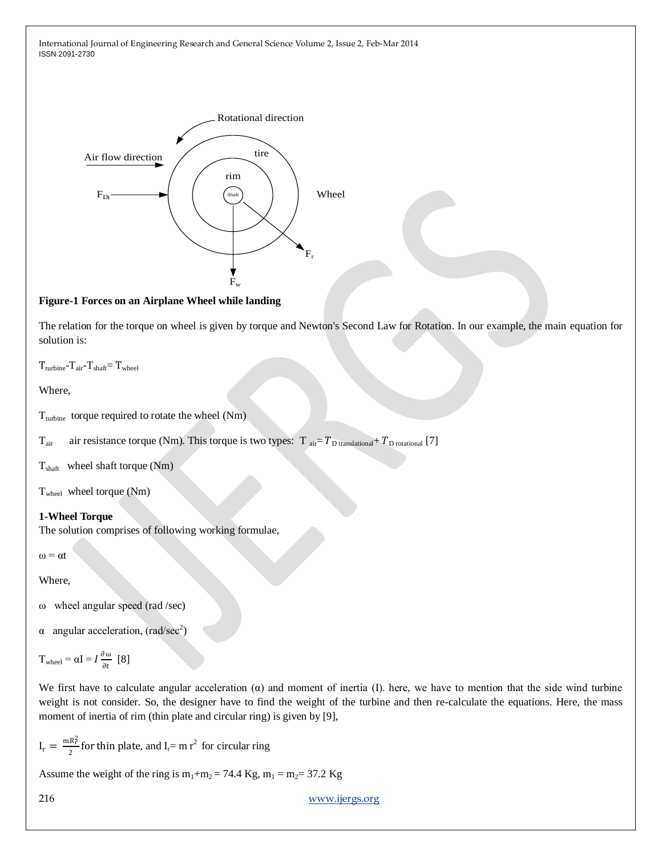

## **Figure-1 Forces on an Airplane Wheel while landing**

The relation for the torque on wheel is given by torque and Newton's Second Law for Rotation. In our example, the main equation for solution is:

```
T_{\text{turbine}}-T_{\text{air}}-T_{\text{shaff}}=T_{\text{wheel}}
```
Where,

T<sub>turbine</sub> torque required to rotate the wheel (Nm)

 $T_{\text{air}}$  air resistance torque (Nm). This torque is two types: T  $_{\text{air}} = T_{\text{D translational}} + T_{\text{D rotational}}$  [7]

 $T<sub>shaff</sub>$  wheel shaft torque (Nm)

Twheel wheel torque (Nm)

### **1-Wheel Torque**

The solution comprises of following working formulae,

 $\omega = \alpha t$ 

Where,

ω wheel angular speed (rad /sec)

 $\alpha$  angular acceleration, (rad/sec<sup>2</sup>)

$$
T_{\text{wheel}} = \alpha I = I \frac{\partial \omega}{\partial t} \ [8]
$$

We first have to calculate angular acceleration  $\alpha$ ) and moment of inertia  $\alpha$ . here, we have to mention that the side wind turbine weight is not consider. So, the designer have to find the weight of the turbine and then re-calculate the equations. Here, the mass moment of inertia of rim (thin plate and circular ring) is given by [9],

 $I_r = \frac{mR_r^2}{2}$  $\frac{R_f^2}{2}$  for thin plate, and I<sub>r</sub>= m r<sup>2</sup> for circular ring

Assume the weight of the ring is  $m_1+m_2 = 74.4$  Kg,  $m_1 = m_2 = 37.2$  Kg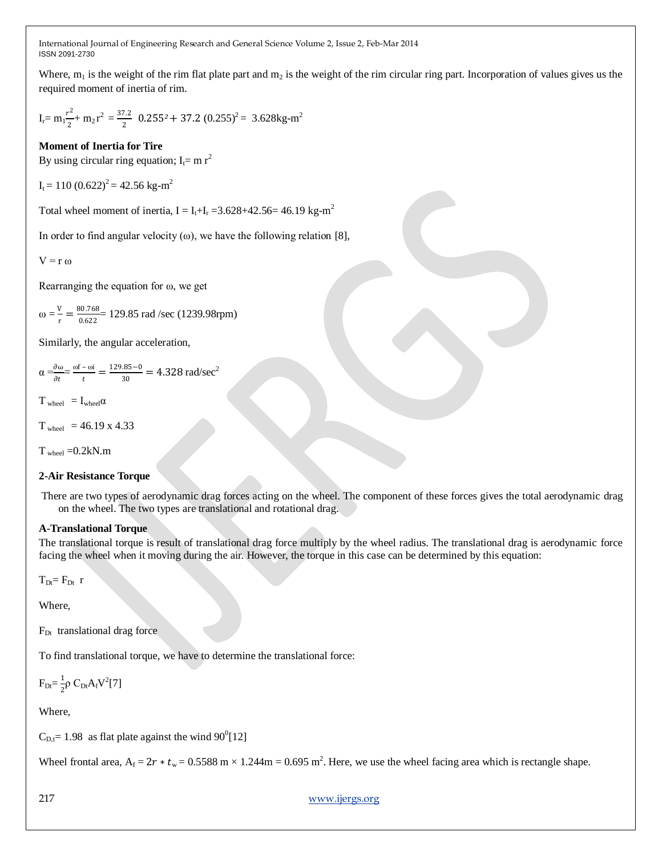Where,  $m_1$  is the weight of the rim flat plate part and  $m_2$  is the weight of the rim circular ring part. Incorporation of values gives us the required moment of inertia of rim.

$$
I_r = m_1 \frac{r^2}{2} + m_2 r^2 = \frac{37.2}{2} \cdot 0.255^2 + 37.2 \cdot (0.255)^2 = 3.628 \text{kg} \cdot \text{m}^2
$$

# **Moment of Inertia for Tire**

By using circular ring equation;  $I_f = m r^2$ 

$$
I_t = 110 (0.622)^2 = 42.56 \text{ kg} \cdot \text{m}^2
$$

Total wheel moment of inertia,  $I = I_t + I_r = 3.628 + 42.56 = 46.19 \text{ kg} \cdot \text{m}^2$ 

In order to find angular velocity  $(\omega)$ , we have the following relation [8],

 $V = r \omega$ 

Rearranging the equation for ω, we get

$$
\omega = \frac{v}{r} = \frac{80.768}{0.622} = 129.85 \text{ rad/sec} (1239.98 \text{rpm})
$$

Similarly, the angular acceleration,

 $\alpha = \frac{\partial \omega}{\partial x}$  $\frac{\partial \omega}{\partial t} = \frac{\omega f - \omega i}{t}$  $\frac{-\omega i}{t} = \frac{129.85 - 0}{30}$  $\frac{35-0}{30} = 4.328$  rad/sec<sup>2</sup>

 $T_{wheel} = I_{wheel} \alpha$ 

 $T_{\text{wheel}} = 46.19 \times 4.33$ 

 $T_{wheel} = 0.2kN.m$ 

### **2-Air Resistance Torque**

There are two types of aerodynamic drag forces acting on the wheel. The component of these forces gives the total aerodynamic drag on the wheel. The two types are translational and rotational drag.

### **A-Translational Torque**

The translational torque is result of translational drag force multiply by the wheel radius. The translational drag is aerodynamic force facing the wheel when it moving during the air. However, the torque in this case can be determined by this equation:

 $T_{Dt}$ =  $F_{Dt}$  r

Where,

FDt translational drag force

To find translational torque, we have to determine the translational force:

 $F_{Dt} = \frac{1}{2}$  $\frac{1}{2} \rho C_{Dt} A_f V^2 [7]$ 

Where,

 $C_{\text{D,t}}$  = 1.98 as flat plate against the wind 90<sup>0</sup>[12]

Wheel frontal area,  $A_f = 2r * t_w = 0.5588 \text{ m} \times 1.244 \text{m} = 0.695 \text{ m}^2$ . Here, we use the wheel facing area which is rectangle shape.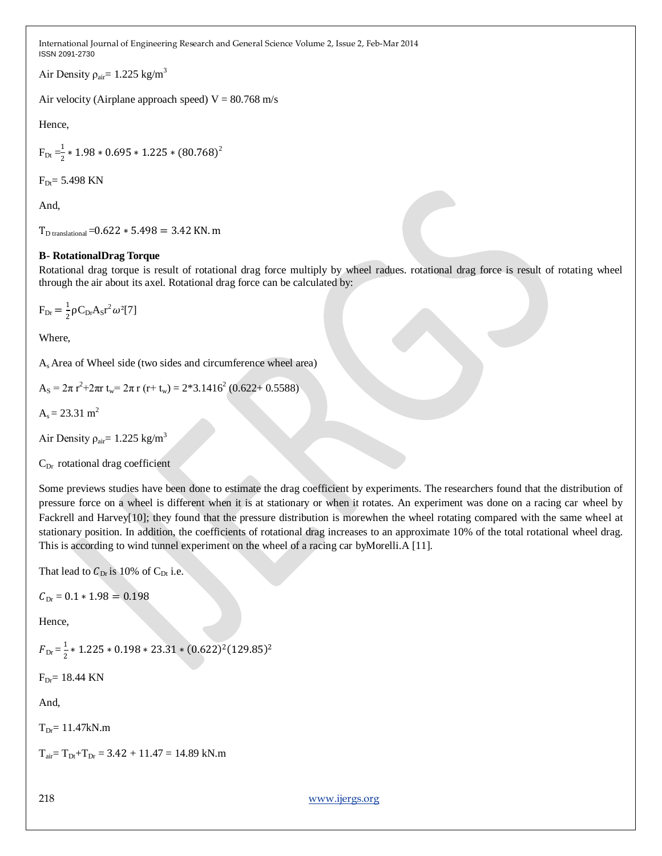Air Density  $\rho_{air}$ = 1.225 kg/m<sup>3</sup>

Air velocity (Airplane approach speed)  $V = 80.768$  m/s

Hence,

$$
F_{Dt} = \frac{1}{2} * 1.98 * 0.695 * 1.225 * (80.768)^2
$$

 $F_{Dt} = 5.498$  KN

And,

 $T_{\text{D translational}} = 0.622 * 5.498 = 3.42$  KN. m

# **B- RotationalDrag Torque**

Rotational drag torque is result of rotational drag force multiply by wheel radues. rotational drag force is result of rotating wheel through the air about its axel. Rotational drag force can be calculated by:

 $F_{Dr} = \frac{1}{2}$  $\frac{1}{2} \rho C_{Dr} A_S r^2 \omega^2 [7]$ 

Where,

As Area of Wheel side (two sides and circumference wheel area)

$$
A_{S} = 2\pi r^{2} + 2\pi r t_{w} = 2\pi r (r + t_{w}) = 2*3.1416^{2} (0.622 + 0.5588)
$$

 $A_s = 23.31$  m<sup>2</sup>

Air Density  $\rho_{\text{air}}$  = 1.225 kg/m<sup>3</sup>

 $C_{Dr}$  rotational drag coefficient

Some previews studies have been done to estimate the drag coefficient by experiments. The researchers found that the distribution of pressure force on a wheel is different when it is at stationary or when it rotates. An experiment was done on a racing car wheel by Fackrell and Harvey[10]; they found that the pressure distribution is morewhen the wheel rotating compared with the same wheel at stationary position. In addition, the coefficients of rotational drag increases to an approximate 10% of the total rotational wheel drag. This is according to wind tunnel experiment on the wheel of a racing car byMorelli.A [11].

That lead to  $C_{Dr}$  is 10% of  $C_{Dt}$  i.e.

 $C_{\text{Dr}} = 0.1 * 1.98 = 0.198$ 

Hence,

 $F_{\rm Dr} = \frac{1}{2}$  $\frac{1}{2}$  \* 1.225 \* 0.198 \* 23.31 \*  $(0.622)^2(129.85)^2$ 

 $F_{Dr}$ = 18.44 KN

And,

 $T_{Dr} = 11.47kN.m$ 

 $T_{air} = T_{Dt} + T_{Dr} = 3.42 + 11.47 = 14.89$  kN.m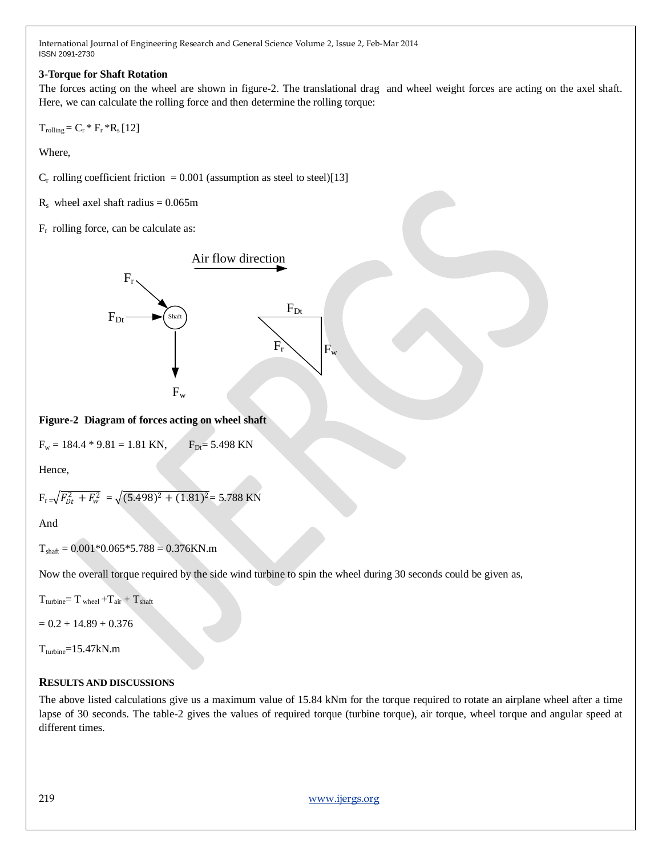## **3-Torque for Shaft Rotation**

The forces acting on the wheel are shown in figure-2. The translational drag and wheel weight forces are acting on the axel shaft. Here, we can calculate the rolling force and then determine the rolling torque:

 $T_{rolling} = C_r * F_r * R_s [12]$ 

Where,

 $C_r$  rolling coefficient friction = 0.001 (assumption as steel to steel)[13]

 $R_s$  wheel axel shaft radius = 0.065m

 $F_r$  rolling force, can be calculate as:



**Figure-2 Diagram of forces acting on wheel shaft**

$$
F_w = 184.4 * 9.81 = 1.81
$$
 KN,  $F_{Dt} = 5.498$  KN

Hence,

$$
F_{r} = \sqrt{F_{Dt}^2 + F_w^2} = \sqrt{(5.498)^2 + (1.81)^2} = 5.788 \text{ KN}
$$

And

 $T<sub>shaff</sub> = 0.001*0.065*5.788 = 0.376$ KN.m

Now the overall torque required by the side wind turbine to spin the wheel during 30 seconds could be given as,

 $T_{turbine} = T_{wheel} + T_{air} + T_{shaft}$ 

 $= 0.2 + 14.89 + 0.376$ 

 $T_{turbine}=15.47kN.m$ 

# **RESULTS AND DISCUSSIONS**

The above listed calculations give us a maximum value of 15.84 kNm for the torque required to rotate an airplane wheel after a time lapse of 30 seconds. The table-2 gives the values of required torque (turbine torque), air torque, wheel torque and angular speed at different times.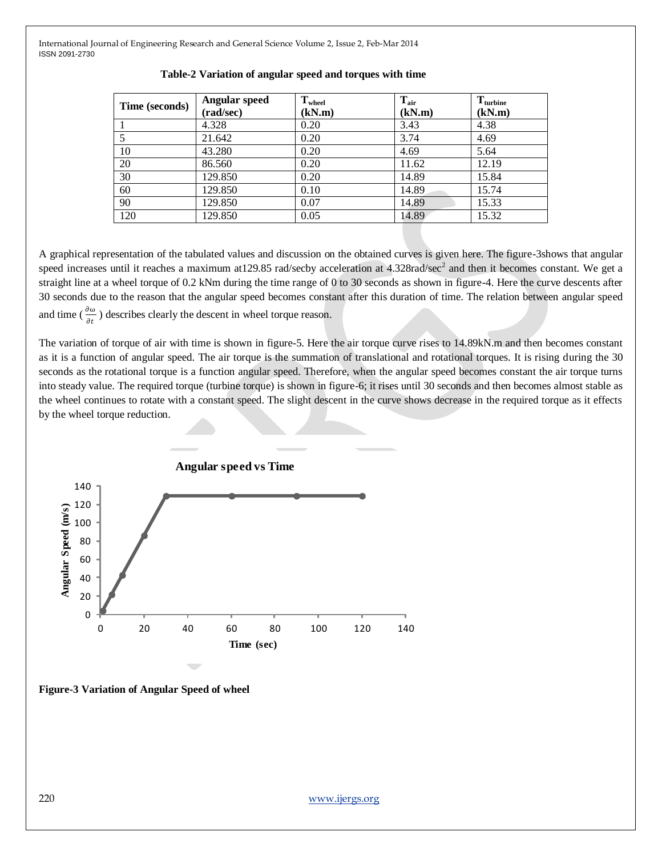| Time (seconds) | Angular speed<br>(rad/sec) | $T_{wheel}$<br>(kN.m) | $T_{\text{air}}$<br>(kN.m) | $T_{\text{turbine}}$<br>(kN.m) |
|----------------|----------------------------|-----------------------|----------------------------|--------------------------------|
|                |                            |                       |                            |                                |
|                | 4.328                      | 0.20                  | 3.43                       | 4.38                           |
|                | 21.642                     | 0.20                  | 3.74                       | 4.69                           |
| 10             | 43.280                     | 0.20                  | 4.69                       | 5.64                           |
| 20             | 86.560                     | 0.20                  | 11.62                      | 12.19                          |
| 30             | 129.850                    | 0.20                  | 14.89                      | 15.84                          |
| 60             | 129.850                    | 0.10                  | 14.89                      | 15.74                          |
| 90             | 129.850                    | 0.07                  | 14.89                      | 15.33                          |
| 120            | 129.850                    | 0.05                  | 14.89                      | 15.32                          |

#### **Table-2 Variation of angular speed and torques with time**

A graphical representation of the tabulated values and discussion on the obtained curves is given here. The figure-3shows that angular speed increases until it reaches a maximum at 129.85 rad/secby acceleration at  $4.328$ rad/sec<sup>2</sup> and then it becomes constant. We get a straight line at a wheel torque of 0.2 kNm during the time range of 0 to 30 seconds as shown in figure-4. Here the curve descents after 30 seconds due to the reason that the angular speed becomes constant after this duration of time. The relation between angular speed and time ( $\frac{\partial \omega}{\partial t}$ ) describes clearly the descent in wheel torque reason.

The variation of torque of air with time is shown in figure-5. Here the air torque curve rises to 14.89kN.m and then becomes constant as it is a function of angular speed. The air torque is the summation of translational and rotational torques. It is rising during the 30 seconds as the rotational torque is a function angular speed. Therefore, when the angular speed becomes constant the air torque turns into steady value. The required torque (turbine torque) is shown in figure-6; it rises until 30 seconds and then becomes almost stable as the wheel continues to rotate with a constant speed. The slight descent in the curve shows decrease in the required torque as it effects by the wheel torque reduction.



**Figure-3 Variation of Angular Speed of wheel**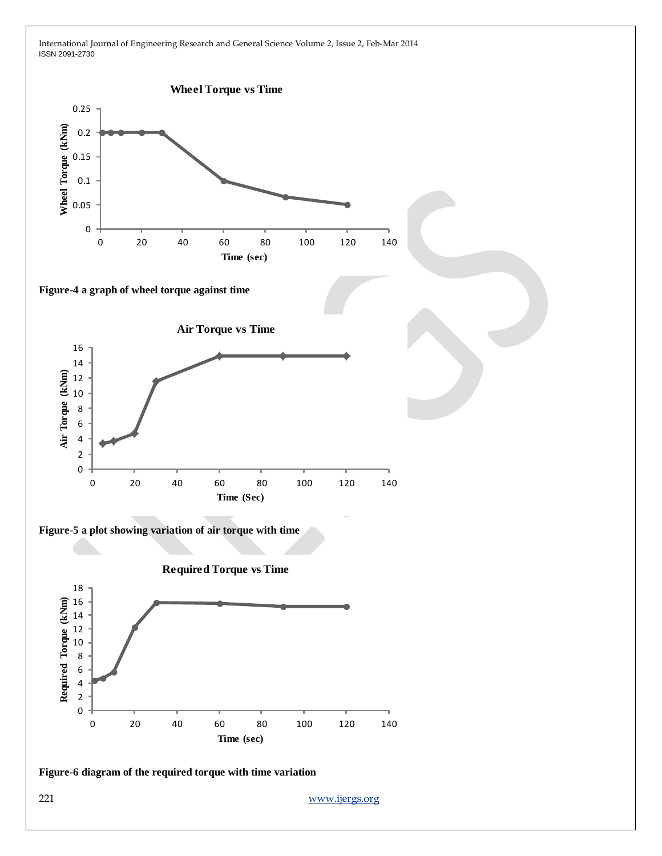